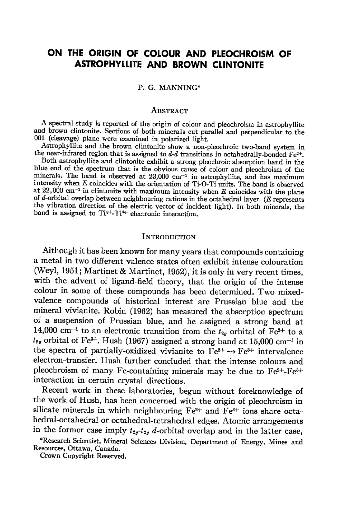# ON THE ORIGIN OF COLOUR AND PLEOCHROISM OF **ASTROPHYLLITE AND BROWN CLINTONITE**

#### P. G. MANNING\*

#### AssrRAcr

A spectral study is reported of tle origin of colour and pleochroism in astrophyllite and brown clintonite. Sections of both minerals cut parallel and perpendicular to the 001 (cleavage) plane were examined in polarized light.

A the near-infrared region that is assigned to  $d-d$  transitions in octahedrally-bonded  $Fe^{2+}$ . Astrophyllite and the brown clintonite show a non-pleochroic twe.band system in

Both astrophyllite and clintonite exhibit a strong pleochroic absorption band in the blue end of the spectrum that is the obvious cause of colour and pleochroism of the minerals. The band is observed at  $23,000$  cm<sup>-1</sup> in astrophyllite, and has maximum intensity when  $E$  coincides with the orientation of Ti-O-Ti units. The band is observed at  $22,000$  cm<sup>-1</sup> in clintonite with maximum intensity when E coincides with the plane of  $d$ -orbital overlap between neighbouring cations in the octahedral layer. ( $E$  represents the vibration direction of the electric vector of incident light). In both minerals, the band is assigned to  $Ti^{3+}-Ti^{4+}$  electronic interaction.

#### INTRODUCTION

Although it has been known for many years that compounds containing a metal in two different valence states often exhibit intense colouration (Weyl, 1951; Martinet & Martinet, Lg52), it is only in very recent times, with the advent of ligand-field theory, that the origin of the intense colour in some of these compounds has been determined. Two mixedvalence compounds of historical interest are Prussian blue and the mineral vivianite. Robin (1962) has measured the absorption specrrum of a suspension of Prussian blue, and he assigned a strong band at 14,000 cm<sup>-1</sup> to an electronic transition from the  $t_{2g}$  orbital of Fe<sup>2+</sup> to a  $t_{2g}$  orbital of Fe<sup>3+</sup>. Hush (1967) assigned a strong band at 15,000 cm<sup>-1</sup> in the spectra of partially-oxidized vivianite to  $Fe^{2+} \rightarrow Fe^{3+}$  intervalence electron-transfer. Hush further concluded that the intense colours and pleochroism of many Fe-containing minerals may be due to  $Fe^{2+} - Fe^{3+}$ interaction in certain crystal directions.

Recent work in these laboratories, begun without foreknowledge of the work of Hush, has been concerned with the origin of pleochroism in silicate minerals in which neighbouring  $Fe^{2+}$  and  $Fe^{3+}$  ions share octahedral-octahedral or octahedral-tetrahedral edges. Atomic arrangements in the former case imply  $t_{2g} - t_{2g} d$ -orbital overlap and in the latter case,

Crown Copyright Reserved.

\_ Resources, Ottawa, Canada. \*Research Scientist, Mineral Sciences Division, Department of Energy, Mines and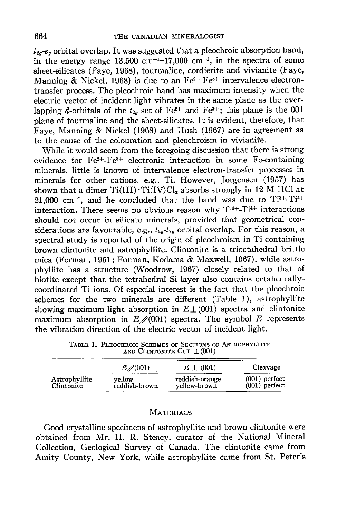$t_{2g}$ - $e_{g}$  orbital overlap. It was suggested that a pleochroic absorption band, in the energy range  $13,500 \text{ cm}^{-1}$ -17,000 cm<sup>-1</sup>, in the spectra of some sheet-silicates (Faye, 1968), tourmaline, cordierite and vivianite (Fave, Manning & Nickel, 1968) is due to an  $Fe^{2+}Fe^{3+}$  intervalence electrontransfer process. The pleochroic band has maximum intensity when the electric vector of incident light vibrates in the same plane as the overlapping *d*-orbitals of the  $t_{2g}$  set of Fe<sup>2+</sup> and Fe<sup>3+</sup>; this plane is the 001 plane of tourmaline and the sheet-silicates. It is evident, therefore, that Faye, Manning & Nickel (1968) and Hush (1967) are in agreement as to the cause of the colouration and pleochroism in vivianite.

While it would seem from the foregoing discussion that there is strong evidence for  $Fe^{2+} - Fe^{3+}$  electronic interaction in some  $Fe$ -containing minerals, little is known of intervalence electron-transfer processes in minerals for other cations, e.g., Ti. However, Jorgensen (1957) has shown that a dimer  $Ti(III) \cdot Ti(IV)Cl<sub>x</sub>$  absorbs strongly in 12 M HCl at  $21,000$  cm<sup>-1</sup>, and he concluded that the band was due to  $Ti^{3+}-Ti^{4+}$ interaction. There seems no obvious reason why  $Ti^{3+}-Ti^{4+}$  interactions should not occur in silicate minerals, provided that geometrical considerations are favourable, e.g.,  $t_{2a}-t_{2a}$  orbital overlap. For this reason, a spectral study is reported of the origin of pleochroism in Ti-containing brown clintonite and astrophyllite. Clintonite is a trioctahedral brittle mica (Forman, 1951 ; Forman, Kodama & Maxwell, 1967), while astrophyllite has a structure (Woodrow, 1967) closely related to that of biotite except that the tetrahedral Si layer also contains octahedrallycoordinated Ti ions. Of especial interest is the fact that the pleochroic schemes for the two minerals are different (Table 1), astrophyllite showing maximum light absorption in  $E\perp(001)$  spectra and clintonite maximum absorption in  $E\neq(001)$  spectra. The symbol E represents the vibration direction of the electric vector of incident light.

TABLE 1. PLEOCHROIC SCHEMES OF SECTIONS OF ASTROPHVILLITE AND CLINTONITE CUT  $\perp (001)$ 

|                             | $E \neq (001)$ | $E \perp (001)$ | Cleavage        |
|-----------------------------|----------------|-----------------|-----------------|
| Astrophyllite<br>Clintonite | vellow         | reddish-orange  | $(001)$ perfect |
|                             | reddish-brown  | vellow-brown    | $(001)$ perfect |

### MATERIALS

Good crystalline specimens of astrophyllite and brown clintonite were obtained from Mr. H. R. Steacy, curator of the National Mineral Collection, Geological Survey of Canada. The clintonite came from Amity County, New York, while astrophyllite came from St. Peter's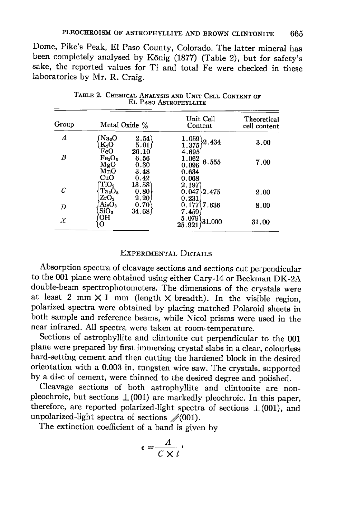Dome, Pike's Peak, El Paso County, Colorado. The latter mineral has been completely analysed by König (1877) (Table 2), but for safety's sake, the reported values for Ti and total Fe were checked in these laboratories by Mr. R. Craig.

| Group<br>А | Metal Oxide %                                       |                              | Unit Cell<br>Content                                                                  | Theoretical<br>cell content |  |  |
|------------|-----------------------------------------------------|------------------------------|---------------------------------------------------------------------------------------|-----------------------------|--|--|
|            | Na <sub>2</sub> O<br>$\rm K_2O$<br>FeO              | 2.54<br>5.01<br>26.10        | $\left\{\begin{smallmatrix} 1.059\ 1.375 \end{smallmatrix}\right\}$<br>2.434<br>4.695 | 3.00                        |  |  |
| В          | Fe <sub>2</sub> O <sub>3</sub><br>MgO<br>MnO<br>CuO | 6.56<br>0.30<br>3.48<br>0.42 | 1.062<br>6.555<br>0.096<br>0.634<br>0.068                                             | 7.00                        |  |  |
|            | TiO <sub>2</sub><br>$Ta_2O_5$<br>ZrO <sub>2</sub>   | 13.58<br>0.80<br>2.20        | 2.197<br>$0.047\overline{\smash{\big)}\ 2.475}$<br>0.231                              | 2.00                        |  |  |
| D          | $\rm Al_2O_3$<br>SiO <sub>2</sub>                   | 0.70<br>34.68                | $0.177$ 7.636<br>7.459                                                                | 8.00                        |  |  |
| Χ          | OН<br>о                                             |                              | 5.079<br>$\backslash 31.000$<br>25.921                                                | 31.00                       |  |  |

TABLE 2. CHEMICAL ANALYSIS AND UNIT CELL CONTENT OF EL PASO ASTROPHYLLITE

## EXPERIMENTAL DETAILS

Absorption spectra of cleavage sections and sections cut perpendicular to the 001 plane were obtained using either Cary-L4 or Beckman DK-2A double-beam spectrophotometers. The dimensions of the crystals were at least 2 mm  $\times$  1 mm (length  $\times$  breadth). In the visible region, polarized spectra were obtained by placing matched Polaroid sheets in both sample and reference beams, while Nicol prisms were used in the near infrared. All spectra were taken at room-temperature.

sections of astrophyllite and clintonite cut perpendicular to the 001 plane were prepared by first immersing crystal slabs in a clear, colourless hard-setting cement and then cutting the hardened block in the desired orientation with a 0.003 in. tungsten wire saw. The crystals, supported by a disc of cement, were thinned to the desired degree and polished.

Cleavage sections of both astrophyllite and clintonite are nonpleochroic, but sections  $\perp (001)$  are markedly pleochroic. In this paper, therefore, are reported polarized-light spectra of sections  $\perp(001)$ , and unpolarized-light spectra of sections  $\mathcal{N}(001)$ .

The extinction coefficient of a band is given by

$$
\epsilon = \frac{A}{C \times l},
$$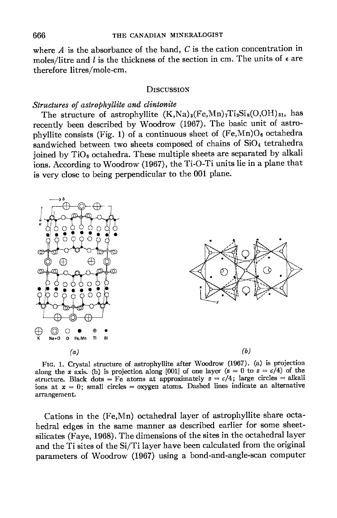where  $A$  is the absorbance of the band,  $C$  is the cation concentration in moles/litre and  $l$  is the thickness of the section in cm. The units of  $\epsilon$  are therefore litres/mole-cm.

#### **DISCUSSION**

#### Structures of astrophyllite and clintonite

The structure of astrophyllite  $(K,Na)_{8}(Fe,Mn)_{7}Ti_{2}Si_{8}(O,OH)_{31}$ , has recently been described by Woodrow (1967). The basic unit of astrophyllite consists (Fig. 1) of a continuous sheet of  $(Fe, Mn)O_6$  octahedra sandwiched between two sheets composed of chains of  $SiO<sub>4</sub>$  tetrahedra joined by  $TiO<sub>6</sub>$  octahedra. These multiple sheets are separated by alkali ions. According to Woodrow (1967), the Ti-O-Ti units lie in a plane that is very close to being perpendicular to the 001 plane.



Frc. 1. Crystal structure of astrophyllite after woodrow (1967). (a) is projection along the x axis. (b) is projection along [001] of one layer ( $\alpha = 0$  to  $\alpha = c/4$ ) of the structure. Black dots = Fe atoms at approximately  $z = c/4$ ; large circles = alkali ions at  $x = 0$ ; small circles = oxygen atoms. Dashed lines indicate an alternative arrangement.

Cations in the (Fe,Mn) octahedral layer of astrophyllite share octahedral edges in the same manner as described earlier for some sheetsilicates (Faye, 1968). The dimensions of the sites in the octahedral layer and the Ti sites of the Si/Ti layer have been calculated from the original parameters of Woodrow (1967) using a bond-and-angle-scan computer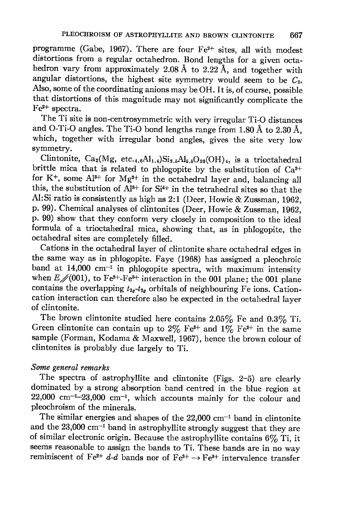programme (Gabe, 1967). There are four  $Fe^{2+}$  sites, all with modest distortions from a regular octahedron. Bond lengths for a given octahedron vary from approximately 2.08 Å to 2.22 Å, and together with angular distortions, the highest site symmetry would seem to be  $C_2$ . Also, some of the coordinating anions may be OH. It is, of course, possible that distortions of this magnitude may not significantly complicate the  $Fe<sup>2+</sup>$  spectra.

The Ti site is non-centrosymmetric with very irregular Ti-O distances and O-Ti-O angles. The Ti-O bond lengths range from 1.80 Å to 2.30 Å, which, together with irregular bond angles, gives the site very low symmetry.

Clintonite,  $Ca_2(Mg, etc.,<sub>4.6</sub>Al<sub>1.4</sub>)Si<sub>2.5</sub>Al<sub>5.5</sub>O<sub>20</sub>(OH)<sub>4</sub>, is a trioctahedral$ brittle mica that is related to phlogopite by the substitution of  $Ca^{2+}$ for K<sup>+</sup>, some Al<sup>3+</sup> for Mg<sup>2+</sup> in the octahedral layer and, balancing all this, the substitution of  $Al^{3+}$  for  $Si^{4+}$  in the tetrahedral sites so that the Al: Si ratio is consistently as high as 2:1 (Deer, Howie & Zussman, 1962, p. 99). Chemical analyses of clintonites (Deer, Howie & Zussman, 1g62, p. 99) show that they conform very closely in composition to the ideal formula of a trioctahedral mica, showing that, as in phlogopite, the octahedral sites are completely filled.

cations in the octahedral layer of clintonite share octahedral edges in the same way as in phlogopite. Faye (1963) has assigned a pleochroic band at  $14,000$  cm<sup>-1</sup> in phlogopite spectra, with maximum intensity when  $E\neq(001)$ , to Fe<sup>2+</sup>-Fe<sup>3+</sup> interaction in the 001 plane; the 001 plane contains the overlapping  $t_{2g}-t_{2g}$  orbitals of neighbouring Fe ions. Cationcation interaction can therefore also be expected in the octahedral layer of clintonite

The brown clintonite studied here contains  $2.05\%$  Fe and  $0.3\%$  Ti. Green clintonite can contain up to  $2\%$  Fe<sup>3+</sup> and  $1\%$  Fe<sup>2+</sup> in the same sample (Forman, Kodama & Maxwell, 1967), hence the brown colour of clintonites is probably due largely to Ti.

## Some general remarks

The spectra of astrophyllite and clintonite (Figs. 2-5) are clearly dominated by a strong absorption band centred in the blue region at  $22,000$  cm<sup>-1</sup>-23,000 cm<sup>-1</sup>, which accounts mainly for the colour and pleochroism of the minerals.

The similar energies and shapes of the  $22,000$  cm<sup>-1</sup> band in clintonite and the  $23,000$  cm<sup>-1</sup> band in astrophyllite strongly suggest that they are of similar electronic origin. Because the astrophyllite contains  $6\%$  Ti, it seems reasonable to assign the bands to Ti. These bands are in no way reminiscent of Fe<sup>2+</sup> d-d bands nor of Fe<sup>2+</sup>  $\rightarrow$  Fe<sup>3+</sup> intervalence transfer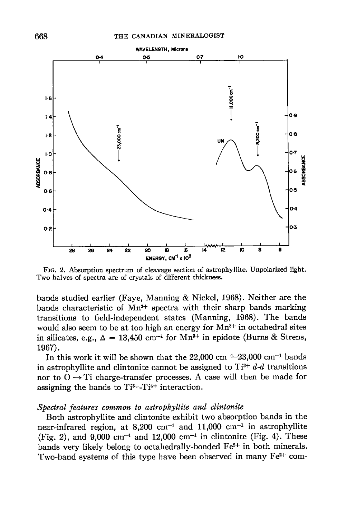

Frc. 2. Absorption spectrum of cleavage section of astrophyllite. Unpolarized light. Two halves of spectra are of crystals of different thickness.

bands studied earlier (Faye, Manning & Nickel, 1968). Neither are the bands characteristic of  $Mn^{2+}$  spectra with their sharp bands marking transitions to field-independent states (Manning, 1968). The bands would also seem to be at too high an energy for  $Mn^{3+}$  in octahedral sites in silicates, e.g.,  $\Delta = 13{,}450$  cm<sup>-1</sup> for Mn<sup>3+</sup> in epidote (Burns & Strens, 1967).

In this work it will be shown that the  $22,000$  cm<sup>-1</sup>-23,000 cm<sup>-1</sup> bands in astrophyllite and clintonite cannot be assigned to  $Ti^{3+}$  d-d transitions nor to  $O \rightarrow Ti$  charge-transfer processes. A case will then be made for assigning the bands to  $Ti^{3+}-Ti^{4+}$  interaction.

## Spectral features common to astrophyllite and clintonite

Both astrophyllite and clintonite exhibit two absorption bands in the near-infrared region, at  $8,200$  cm<sup>-1</sup> and  $11,000$  cm<sup>-1</sup> in astrophyllite (Fig. 2), and  $9,000 \text{ cm}^{-1}$  and  $12,000 \text{ cm}^{-1}$  in clintonite (Fig. 4). These bands very likely belong to octahedrally-bonded  $Fe^{2+}$  in both minerals. Two-band systems of this type have been observed in many  $Fe<sup>2+</sup>$  com-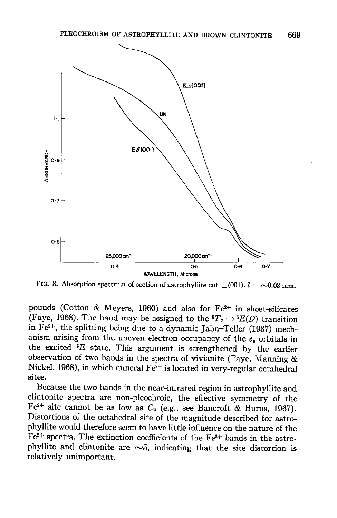

FIG. 3. Absorption spectrum of section of astrophyllite cut  $\perp (001)$ .  $l = \sim 0.03$  mm.

pounds (Cotton & Meyers, 1960) and also for  $Fe^{2+}$  in sheet-silicates (Faye, 1968). The band may be assigned to the  ${}^5T_2 \rightarrow {}^5E(D)$  transition in Fe $^{2+}$ , the splitting being due to a dynamic Jahn-Teller (1937) mechanism arising from the uneven electron occupancy of the  $e_g$  orbitals in the excited  ${}^{5}E$  state. This argument is strengthened by the earlier observation of two bands in the spectra of vivianite (Faye, Manning  $\&$ Nickel, 1968), in which mineral  $Fe^{2+}$  is located in very-regular octahedral sites.

Because the two bands in the near-infrared region in astrophyllite and clintonite spectra are non-pleochroic, the effective symmetry of the Fe<sup>2+</sup> site cannot be as low as  $C_2$  (e.g., see Bancroft & Burns, 1967). Distortions of the octahedral site of the magnitude described for astrophyllite would therefore seem to have little influence on the nature of the  $Fe^{2+}$  spectra. The extinction coefficients of the Fe<sup>2+</sup> bands in the astrophyllite and clintonite are  $\sim$ 5, indicating that the site distortion is relatively unimportant.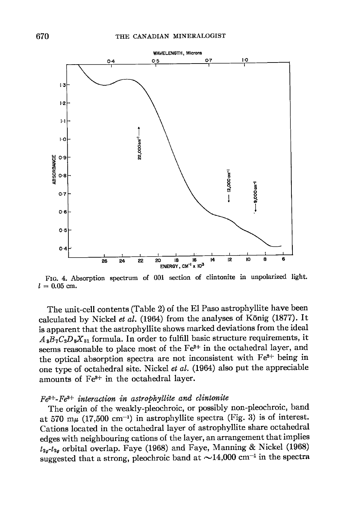

FIG. 4. Absorption spectrum of 001 section of clintonite in unpolarized light.  $l = 0.05$  cm.

The unit-cell contents (Table 2) of the El Paso astrophyllite have been calculated by Nickel et al. (1964) from the analyses of König (1877). It is apparent that the astrophyllite shows marked deviations from the ideal  $A_3B_7C_2D_8X_{31}$  formula. In order to fulfill basic structure requirements, it seems reasonable to place most of the Fe<sup>2+</sup> in the octahedral layer, and the optical absorption spectra are not inconsistent with  $Fe<sup>2+</sup>$  being in one type of octahedral site. Nickel et al.  $(1964)$  also put the appreciable amounts of  $Fe<sup>3+</sup>$  in the octahedral layer.

## $Fe<sup>2+</sup>-Fe<sup>3+</sup> interaction in astrophylite and climonite$

The origin of the weakly-pleochroic, or possibly non-pleochroic, band at 570 m $\mu$  (17,500 cm<sup>-1</sup>) in astrophyllite spectra (Fig. 3) is of interest. Cations located in the octahedral layer of astrophyllite share octahedral edges with neighbouring cations of the layer, an arrangement that implies  $t_{2q}$ - $t_{2q}$  orbital overlap. Faye (1968) and Faye, Manning & Nickel (1968) suggested that a strong, pleochroic band at  $\sim$ 14,000 cm<sup>-1</sup> in the spectra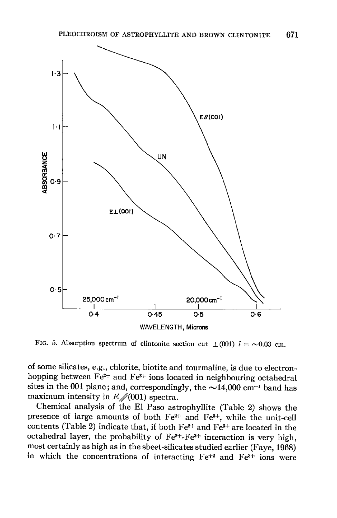

FIG. 5. Absorption spectrum of clintonite section cut  $\perp (001)$   $l = \sim 0.03$  cm.

of some silicates, e.g., chlorite, biotite and tourmaline, is due to electronhopping between  $Fe^{2+}$  and  $Fe^{3+}$  ions located in neighbouring octahedral sites in the 001 plane; and, correspondingly, the  $\sim$ 14,000 cm<sup>-1</sup> band has maximum intensity in  $E\neq(001)$  spectra.

Chemical analysis of the El Paso astrophyllite (Table 2) shows the presence of large amounts of both Fe<sup>2+</sup> and Fe<sup>3+</sup>, while the unit-cell contents (Table 2) indicate that, if both  $Fe^{2+}$  and  $Fe^{3+}$  are located in the octahedral layer, the probability of  $Fe^{2+}-Fe^{3+}$  interaction is very high, most certainly as high as in the sheet-silicates studied earlier (Faye, 1968) in which the concentrations of interacting  $Fe^{+2}$  and  $Fe^{3+}$  ions were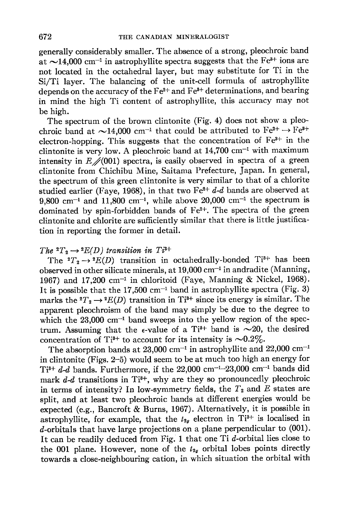generally considerably smaller. The absence of a strong, pleochroic band at  $\sim$ 14,000 cm<sup>-1</sup> in astrophyllite spectra suggests that the Fe<sup>3+</sup> ions are not located in the octahedral layer, but may substitute for Ti in the Si/Ti layer. The balancing of the unit-cell formula of astrophyllite depends on the accuracy of the  $Fe^{2+}$  and  $Fe^{3+}$  determinations, and bearing in mind the high Ti content of astrophyllite, this accuracy may not be high.

The spectrum of the brown clintonite (Fig. 4) does not show a pleochroic band at  $\sim$ 14,000 cm<sup>-1</sup> that could be attributed to Fe<sup>2+</sup>  $\rightarrow$  Fe<sup>3+</sup> electron-hopping. This suggests that the concentration of  $Fe<sup>3+</sup>$  in the clintonite is very low. A pleochroic band at  $14,700$  cm<sup>-1</sup> with maximum intensity in  $E\neq(001)$  spectra, is easily observed in spectra of a green clintonite from Chichibu Mine, Saitama Prefecture, Japan. In general, the spectrum of this green clintonite is very similar to that of a chlorite studied earlier (Faye, 1968), in that two  $Fe^{2+}$  d-d bands are observed at 9,800 cm<sup>-1</sup> and 11,800 cm<sup>-1</sup>, while above 20,000 cm<sup>-1</sup> the spectrum is dominated by spin-forbidden bands of Fe<sup>2+</sup>. The spectra of the green clintonite and chlorite are sufficiently similar that there is little justification in reporting the former in detail.

## The  ${}^2T_2 \rightarrow {}^2E(D)$  transition in Ti<sup>3+</sup>

The  ${}^2T_2 \rightarrow {}^2E(D)$  transition in octahedrally-bonded Ti<sup>3+</sup> has been observed in other silicate minerals, at  $19,000$  cm<sup>-1</sup> in andradite (Manning, 1967) and 17,200 cm<sup>-1</sup> in chloritoid (Faye, Manning & Nickel, 1968). It is possible that the  $17,500$  cm<sup>-1</sup> band in astrophyllite spectra (Fig. 3) marks the  ${}^2T_2\rightarrow {}^2E(D)$  transition in Ti<sup>3+</sup> since its energy is similar. The apparent pleochroism of the band may simply be due to the degree to which the  $23,000$  cm<sup>-1</sup> band sweeps into the yellow region of the spectrum. Assuming that the  $\epsilon$ -value of a Ti<sup>3+</sup> band is  $\sim$ 20, the desired concentration of Ti<sup>3+</sup> to account for its intensity is  $\sim 0.2\%$ .

The absorption bands at  $23,000$  cm<sup>-1</sup> in astrophyllite and  $22,000$  cm<sup>-1</sup> in clintonite (Figs. 2-5) would seem to be at much too high an energy for Ti<sup>8+</sup> d-d bands. Furthermore, if the 22,000 cm<sup>-1</sup>-23,000 cm<sup>-1</sup> bands did mark  $d-d$  transitions in Ti<sup>3+</sup>, why are they so pronouncedly pleochroic in terms of intensity? In low-symmetry fields, the  $T_2$  and  $E$  states are split, and at least two pleochroic bands at different energies would be expected (e.g., Bancroft & Burns, 1967). Alternatively, it is possible in astrophyllite, for example, that the  $t_{2g}$  electron in Ti<sup>3+</sup> is localised in d-orbitals that have large projections on a plane perpendicular to (00L). It can be readily deduced from Fig. 1 that one Ti  $d$ -orbital lies close to the 001 plane. However, none of the  $t_{2g}$  orbital lobes points directly towards a close-neighbouring cation, in which situation the orbital with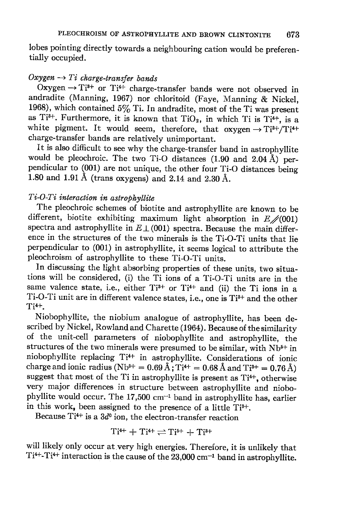lobes pointing directly towards a neighbouring cation would be preferentially occupied.

## Oxygen  $\rightarrow Ti$  charge-transfer bands

Oxygen  $\rightarrow$  Ti<sup>3+</sup> or Ti<sup>4+</sup> charge-transfer bands were not observed in andradite (Manning, 1967) nor chloritoid (Faye, Manning & Nickel, 1968), which contained  $5\%$  Ti. In andradite, most of the Ti was present as Ti<sup>3+</sup>. Furthermore, it is known that TiO<sub>2</sub>, in which Ti is Ti<sup>4+</sup>, is a white pigment. It would seem, therefore, that  $oxygen \rightarrow Ti^{3+}/Ti^{4+}$ charge-transfer bands are relatively unimportant.

It is also difficult to see why the charge-transfer band in astrophyllite would be pleochroic. The two Ti-O distances (1.90 and 2.04 A) perpendicular to (001) are not unique, the other four Ti-o distances being 1.80 and 1.91 Å (trans oxygens) and 2.14 and 2.30 Å.

## $Ti-O-Ti$  interaction in astrophyllite

The pleochroic schemes of biotite and astrophyllite are known to be different, biotite exhibiting maximum light absorption in  $E\neq(001)$ spectra and astrophyllite in  $E \perp (001)$  spectra. Because the main difference in the structures of the two minerals is the Ti-o-Ti units that lie perpendicular to (001) in astrophyllite, it seems logical to attribute the pleochroism of astrophyllite to these Ti-O-Ti units.

In discussing the light absorbing properties of these units, two situations will be considered, (i) the Ti ions of a Ti-o-Ti units are in the same valence state, i.e., either  $Ti^{3+}$  or  $Ti^{4+}$  and (ii) the Ti ions in a Ti-O-Ti unit are in different valence states, i.e., one is Ti<sup>3+</sup> and the other Ti4+.

Niobophyllite, the niobium analogue of astrophyllite, has been described by Nickel, Rowland and charette (1904). Because of the similarity of the unit-cell parameters of niobophyllite and astrophyllite, the structures of the two minerals were presumed to be similar, with  $Nb<sup>5+</sup>$  in niobophyllite replacing Ti<sup>4+</sup> in astrophyllite. Considerations of ionic charge and ionic radius (Nb<sup>5+</sup> = 0.69 Å; Ti<sup>4+</sup> = 0.68 Å and Ti<sup>3+</sup> = 0.76 Å) suggest that most of the Ti in astrophyllite is present as  $Ti<sup>4+</sup>$ , otherwise very major differences in structure between astrophyllite and niobophyllite would occur. The  $17,500$  cm<sup>-1</sup> band in astrophyllite has, earlier in this work, been assigned to the presence of a little  $Ti^{3+}$ .

Because Ti<sup>4+</sup> is a  $3d^0$  ion, the electron-transfer reaction

$$
Ti^{4+}+Ti^{4+}\rightleftharpoons Ti^{5+}+Ti^{3+}
$$

will likely only occur at very high energies. Therefore, it is unlikely that  $Ti^{4+}-Ti^{4+}$  interaction is the cause of the 23,000 cm<sup>-1</sup> band in astrophyllite.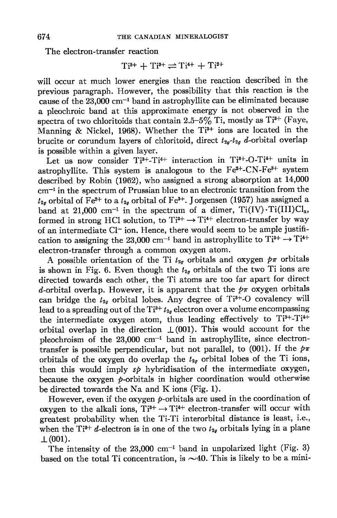The electron-transfer reaction

$$
Ti^{3+} + Ti^{3+} \rightleftharpoons Ti^{4+} + Ti^{2+}
$$

will occur at much lower energies than the reaction described in the previous paragraph. However, the possibility that this reaction is the cause of the  $23,000$  cm<sup>-1</sup> band in astrophyllite can be eliminated because a pleochroic band at this approximate energy is not observed in the spectra of two chloritoids that contain 2.5-5% Ti, mostly as  $Ti^{3+}$  (Faye, Manning & Nickel, 1968). Whether the Ti<sup>3+</sup> ions are located in the brucite or corundum layers of chloritoid, direct  $t_{2g}-t_{2g}$  d-orbital overlap is possible within a given layer.

Let us now consider  $Ti^{3+}-Ti^{4+}$  interaction in  $Ti^{3+}-O-Ti^{4+}$  units in astrophyllite. This system is analogous to the  $Fe^{2+}-CN-Fe^{3+}$  system described by Robin (1962), who assigned a strong absorption at 14,000  $cm<sup>-1</sup>$  in the spectrum of Prussian blue to an electronic transition from the  $t_{2u}$  orbital of Fe<sup>2+</sup> to a  $t_{2u}$  orbital of Fe<sup>3+</sup>. Jorgensen (1957) has assigned a band at 21,000 cm<sup>-1</sup> in the spectrum of a dimer,  $Ti(IV)\cdot Ti(III)Cl<sub>x</sub>$ , formed in strong HCl solution, to  $Ti^{3+} \rightarrow Ti^{4+}$  electron-transfer by way of an intermediate Cl<sup>-</sup> ion. Hence, there would seem to be ample justification to assigning the 23,000 cm<sup>-1</sup> band in astrophyllite to  $Ti^{3+} \rightarrow Ti^{4+}$ electron-transfer through a common oxygen atom.

A possible orientation of the Ti  $t_{2g}$  orbitals and oxygen  $p\pi$  orbitals is shown in Fig. 6. Even though the  $t_{2g}$  orbitals of the two Ti ions are directed towards each other, the Ti atoms are too far apart for direct d-orbital overlap. However, it is apparent that the  $p\pi$  oxygen orbitals can bridge the  $t_{2g}$  orbital lobes. Any degree of Ti<sup>3+</sup>-O covalency will lead to a spreading out of the Ti<sup>3+</sup>  $t_{2g}$  electron over a volume encompassing the intermediate oxygen atom, thus leading effectively to  $Ti^{3+}-Ti^{4+}$ orbital overlap in the direction  $\perp(001)$ . This would account for the pleochroism of the  $23,000$  cm<sup>-1</sup> band in astrophyllite, since electrontransfer is possible perpendicular, but not parallel, to (001). If the  $p\pi$ orbitals of the oxygen do overlap the  $t_{2g}$  orbital lobes of the Ti ions, then this would imply  $s\phi$  hybridisation of the intermediate oxygen, because the oxygen  $p$ -orbitals in higher coordination would otherwise be directed towards the Na and K ions (Fig. 1).

However, even if the oxygen  $p$ -orbitals are used in the coordination of oxygen to the alkali ions,  $Ti^{3+} \rightarrow Ti^{4+}$  electron-transfer will occur with greatest probability when the Ti-Ti interorbital distance is least, i.e., when the Ti<sup>3+</sup> d-electron is in one of the two  $t_{2g}$  orbitals lying in a plane  $\perp(001)$ .

The intensity of the  $23,000$  cm<sup>-1</sup> band in unpolarized light (Fig. 3) based on the total. Ti concentration, is  $\sim$ 40. This is likely to be a mini-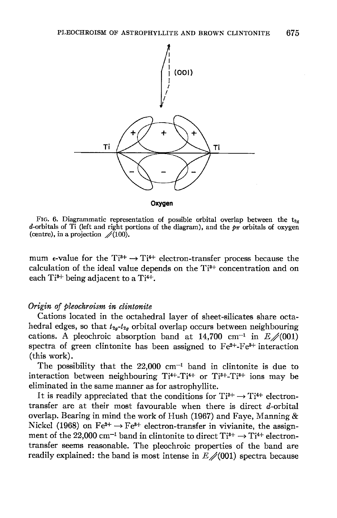

FIG. 6. Diagrammatic representation of possible orbital overlap between the t<sub>2n</sub> d-orbitals of Ti (left and right portions of the diagram), and the  $p\pi$  orbitals of oxygen (centre), in a projection  $\sqrt{(100)}$ .

mum  $\epsilon$ -value for the Ti<sup> $3+$ </sup>  $\rightarrow$  Ti<sup> $4+$ </sup> electron-transfer process because the calculation of the ideal value depends on the  $Ti^{3+}$  concentration and on each  $Ti^{3+}$  being adjacent to a  $Ti^{4+}$ .

### Origin of pleochroism in clintonite

Cations located in the octahedral layer of sheet-silicates share octahedral edges, so that  $t_{2a}-t_{2a}$  orbital overlap occurs between neighbouring cations. A pleochroic absorption band at 14,700 cm<sup>-1</sup> in  $E\neq(001)$ spectra of green clintonite has been assigned to  $Fe^{2+} - Fe^{3+}$  interaction (this work).

The possibility that the  $22,000$  cm<sup>-1</sup> band in clintonite is due to interaction between neighbouring  $Ti^{4+}-Ti^{4+}$  or  $Ti^{3+}-Ti^{3+}$  ions may be eliminated in the same manner as for astrophyllite.

It is readily appreciated that the conditions for  $Ti^{3+} \rightarrow Ti^{4+}$  electrontransfer are at their most favourable when there is direct d-orbital overlap. Bearing in mind the work of Hush (1967) and Faye, Manning  $\&$ Nickel (1968) on  $Fe^{2+} \rightarrow Fe^{3+}$  electron-transfer in vivianite, the assignment of the 22,000 cm<sup>-1</sup> band in clintonite to direct  $Ti^{3+} \rightarrow Ti^{4+}$  electrontransfer seems reasonable. The pleochroic properties of the band are readily explained: the band is most intense in  $E\ll(001)$  spectra because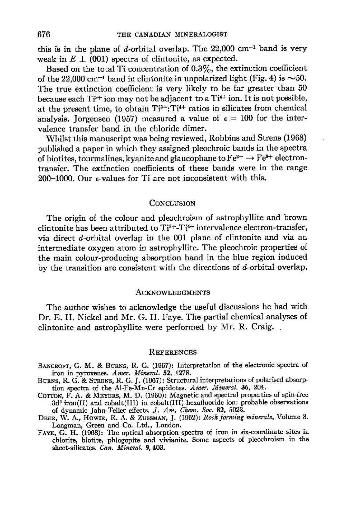this is in the plane of d-orbital overlap. The  $22,000$  cm<sup>-1</sup> band is very weak in  $E \perp (001)$  spectra of clintonite, as expected.

Based on the total Ti concentration of  $0.3\%$ , the extinction coefficient of the 22,000 cm<sup>-1</sup> band in clintonite in unpolarized light (Fig. 4) is  $\sim$  50. The true extinction coefficient is very likely to be far greater than 50 because each Ti<sup>3+</sup> ion may not be adjacent to a Ti<sup>4+</sup> ion. It is not possible, at the present time, to obtain Ti<sup>3+</sup>: Ti<sup>4+</sup> ratios in silicates from chemical analysis. Jorgensen (1957) measured a value of  $\epsilon = 100$  for the intervalence transfer band in the chloride dimer.

Whitst this manuscript was being reviewed, Robbins and Strens (1968) published a paper in which they assigned pleochroic bands in the spectra of biotites, tourmalines, kyanite and glaucophane to  $Fe^{2+} \rightarrow Fe^{3+}$  electrontransfer. The srtinction coefficients of these bands were in the range 200-1000. Our e-values for Ti are not inconsistent with this.

#### CONCLUSION

The origin of the colour and pleochroism of astrophyllite and brown clintonite has been attributed to  $Ti^{3+}-Ti^{4+}$  intervalence electron-transfer, via direct d-orbital overlap in the 001 plane of clintonite and via an intermediate oxygen atom in astrophyllite. The pleochroic properties of the main colour-producing absorption band in the blue region induced by the transition are consistent with the directions of  $d$ -orbital overlap.

### **ACKNOWLEDGMENTS**

The author wishes to acknowledge the useful discussions he had with Dr. E. H. Nickel and Mr. G. H. Faye. The partial chemical analyses of clintonite and astrophyllite were performed by Mr. R. Craig.

#### **REFERENCES**

- BANCROFT, G. M. & BURNS, R. G. (1967): Interpretation of the electronic spectra of iron in pyroxenes. Amer. Mineral. 52, 1278.
- BURNS, R. G. & STRENS, R. G. J. (1967): Structural interpretations of polarised absorption spectra of the Al-Fe-Mn-Cr epidotes. Amer. Mineral. 36, 204.
- Corron, F. A. & MEYERS, M. D. (1960): Magnetic and spectral properties of spin-free  $3d<sup>6</sup>$  iron(II) and cobalt(III) in cobalt(III) hexafluoride ion: probable observations of dynamic Jahn-Teller effects. J. Am. Chem. Soc. 82, 5023.
- DEER, W. A., HOWIE, R. A. & ZUSSMAN, J. (1962): Rock forming minerals, Volume 3. Longman, Green and Co. Ltd., London.
- FAYE, G. H. (1968): The optical absorption spectra of iron in six-coordinate sites in chlorite, biotite, phlogopite and vivianite. Some aspects of pleochroism iu the sheet-silicates. Can. Mineral. 9, 403.